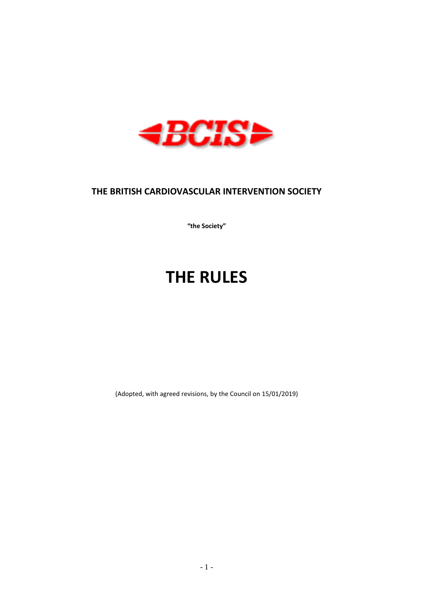

# **THE BRITISH CARDIOVASCULAR INTERVENTION SOCIETY**

**"the Society"**

# **THE RULES**

(Adopted, with agreed revisions, by the Council on 15/01/2019)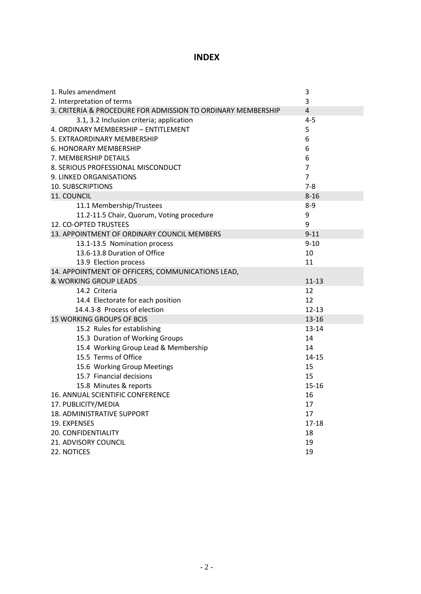# **INDEX**

| 1. Rules amendment                                           | $\mathsf 3$    |
|--------------------------------------------------------------|----------------|
| 2. Interpretation of terms                                   | 3              |
| 3. CRITERIA & PROCEDURE FOR ADMISSION TO ORDINARY MEMBERSHIP | $\overline{4}$ |
| 3.1, 3.2 Inclusion criteria; application                     | $4 - 5$        |
| 4. ORDINARY MEMBERSHIP - ENTITLEMENT                         | 5              |
| 5. EXTRAORDINARY MEMBERSHIP                                  | 6              |
| 6. HONORARY MEMBERSHIP                                       | 6              |
| 7. MEMBERSHIP DETAILS                                        | 6              |
| 8. SERIOUS PROFESSIONAL MISCONDUCT                           | $\overline{7}$ |
| 9. LINKED ORGANISATIONS                                      | $\overline{7}$ |
| <b>10. SUBSCRIPTIONS</b>                                     | $7 - 8$        |
| 11. COUNCIL                                                  | $8 - 16$       |
| 11.1 Membership/Trustees                                     | $8-9$          |
| 11.2-11.5 Chair, Quorum, Voting procedure                    | 9              |
| 12. CO-OPTED TRUSTEES                                        | 9              |
| 13. APPOINTMENT OF ORDINARY COUNCIL MEMBERS                  | $9 - 11$       |
| 13.1-13.5 Nomination process                                 | $9 - 10$       |
| 13.6-13.8 Duration of Office                                 | 10             |
| 13.9 Election process                                        | 11             |
| 14. APPOINTMENT OF OFFICERS, COMMUNICATIONS LEAD,            |                |
| & WORKING GROUP LEADS                                        | $11 - 13$      |
| 14.2 Criteria                                                | 12             |
| 14.4 Electorate for each position                            | 12             |
| 14.4.3-8 Process of election                                 | $12 - 13$      |
| <b>15 WORKING GROUPS OF BCIS</b>                             | $13 - 16$      |
| 15.2 Rules for establishing                                  | $13 - 14$      |
| 15.3 Duration of Working Groups                              | 14             |
| 15.4 Working Group Lead & Membership                         | 14             |
| 15.5 Terms of Office                                         | $14 - 15$      |
| 15.6 Working Group Meetings                                  | 15             |
| 15.7 Financial decisions                                     | 15             |
| 15.8 Minutes & reports                                       | $15 - 16$      |
| 16. ANNUAL SCIENTIFIC CONFERENCE                             | 16             |
| 17. PUBLICITY/MEDIA                                          | 17             |
| 18. ADMINISTRATIVE SUPPORT                                   | 17             |
| 19. EXPENSES                                                 | $17 - 18$      |
| 20. CONFIDENTIALITY                                          | 18             |
| 21. ADVISORY COUNCIL                                         | 19             |
| 22. NOTICES                                                  | 19             |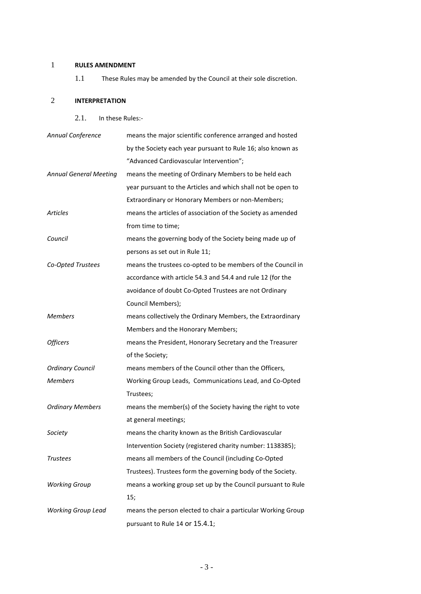# 1 **RULES AMENDMENT**

1.1 These Rules may be amended by the Council at their sole discretion.

# 2 **INTERPRETATION**

2.1. In these Rules:-

| Annual Conference             | means the major scientific conference arranged and hosted    |
|-------------------------------|--------------------------------------------------------------|
|                               | by the Society each year pursuant to Rule 16; also known as  |
|                               | "Advanced Cardiovascular Intervention";                      |
| <b>Annual General Meeting</b> | means the meeting of Ordinary Members to be held each        |
|                               | year pursuant to the Articles and which shall not be open to |
|                               | Extraordinary or Honorary Members or non-Members;            |
| <b>Articles</b>               | means the articles of association of the Society as amended  |
|                               | from time to time;                                           |
| Council                       | means the governing body of the Society being made up of     |
|                               | persons as set out in Rule 11;                               |
| Co-Opted Trustees             | means the trustees co-opted to be members of the Council in  |
|                               | accordance with article 54.3 and 54.4 and rule 12 (for the   |
|                               | avoidance of doubt Co-Opted Trustees are not Ordinary        |
|                               | Council Members);                                            |
| <b>Members</b>                | means collectively the Ordinary Members, the Extraordinary   |
|                               | Members and the Honorary Members;                            |
| <b>Officers</b>               | means the President, Honorary Secretary and the Treasurer    |
|                               | of the Society;                                              |
| <b>Ordinary Council</b>       | means members of the Council other than the Officers,        |
| <b>Members</b>                | Working Group Leads, Communications Lead, and Co-Opted       |
|                               | Trustees;                                                    |
| <b>Ordinary Members</b>       | means the member(s) of the Society having the right to vote  |
|                               | at general meetings;                                         |
| Society                       | means the charity known as the British Cardiovascular        |
|                               | Intervention Society (registered charity number: 1138385);   |
| Trustees                      | means all members of the Council (including Co-Opted         |
|                               | Trustees). Trustees form the governing body of the Society.  |
| <b>Working Group</b>          | means a working group set up by the Council pursuant to Rule |
|                               | 15;                                                          |
| <b>Working Group Lead</b>     | means the person elected to chair a particular Working Group |
|                               | pursuant to Rule 14 or 15.4.1;                               |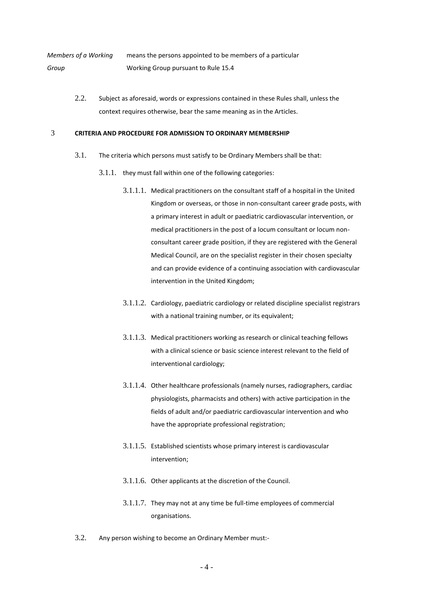*Members of a Working Group* means the persons appointed to be members of a particular Working Group pursuant to Rul[e 15.4](#page-13-0)

> 2.2. Subject as aforesaid, words or expressions contained in these Rules shall, unless the context requires otherwise, bear the same meaning as in the Articles.

# 3 **CRITERIA AND PROCEDURE FOR ADMISSION TO ORDINARY MEMBERSHIP**

- 3.1. The criteria which persons must satisfy to be Ordinary Members shall be that:
	- 3.1.1. they must fall within one of the following categories:
		- 3.1.1.1. Medical practitioners on the consultant staff of a hospital in the United Kingdom or overseas, or those in non-consultant career grade posts, with a primary interest in adult or paediatric cardiovascular intervention, or medical practitioners in the post of a locum consultant or locum nonconsultant career grade position, if they are registered with the General Medical Council, are on the specialist register in their chosen specialty and can provide evidence of a continuing association with cardiovascular intervention in the United Kingdom;
		- 3.1.1.2. Cardiology, paediatric cardiology or related discipline specialist registrars with a national training number, or its equivalent;
		- 3.1.1.3. Medical practitioners working as research or clinical teaching fellows with a clinical science or basic science interest relevant to the field of interventional cardiology;
		- 3.1.1.4. Other healthcare professionals (namely nurses, radiographers, cardiac physiologists, pharmacists and others) with active participation in the fields of adult and/or paediatric cardiovascular intervention and who have the appropriate professional registration;
		- 3.1.1.5. Established scientists whose primary interest is cardiovascular intervention;
		- 3.1.1.6. Other applicants at the discretion of the Council.
		- 3.1.1.7. They may not at any time be full-time employees of commercial organisations.
- 3.2. Any person wishing to become an Ordinary Member must:-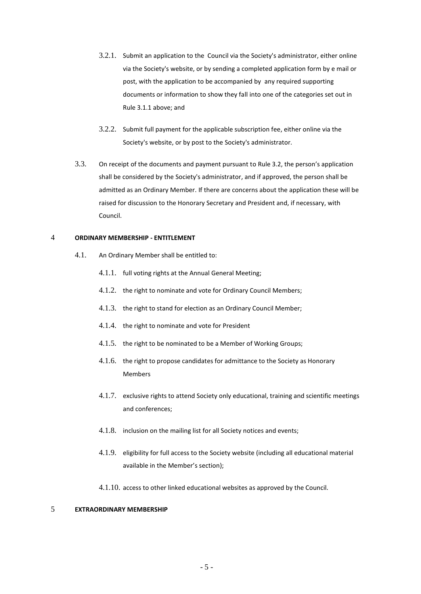- 3.2.1. Submit an application to the Council via the Society's administrator, either online via the Society's website, or by sending a completed application form by e mail or post, with the application to be accompanied by any required supporting documents or information to show they fall into one of the categories set out in Rule 3.1.1 above; and
- 3.2.2. Submit full payment for the applicable subscription fee, either online via the Society's website, or by post to the Society's administrator.
- 3.3. On receipt of the documents and payment pursuant to Rule 3.2, the person's application shall be considered by the Society's administrator, and if approved, the person shall be admitted as an Ordinary Member. If there are concerns about the application these will be raised for discussion to the Honorary Secretary and President and, if necessary, with Council.

#### 4 **ORDINARY MEMBERSHIP - ENTITLEMENT**

- 4.1. An Ordinary Member shall be entitled to:
	- 4.1.1. full voting rights at the Annual General Meeting;
	- 4.1.2. the right to nominate and vote for Ordinary Council Members;
	- 4.1.3. the right to stand for election as an Ordinary Council Member;
	- 4.1.4. the right to nominate and vote for President
	- 4.1.5. the right to be nominated to be a Member of Working Groups;
	- 4.1.6. the right to propose candidates for admittance to the Society as Honorary Members
	- 4.1.7. exclusive rights to attend Society only educational, training and scientific meetings and conferences;
	- 4.1.8. inclusion on the mailing list for all Society notices and events;
	- 4.1.9. eligibility for full access to the Society website (including all educational material available in the Member's section);
	- 4.1.10. access to other linked educational websites as approved by the Council.

# 5 **EXTRAORDINARY MEMBERSHIP**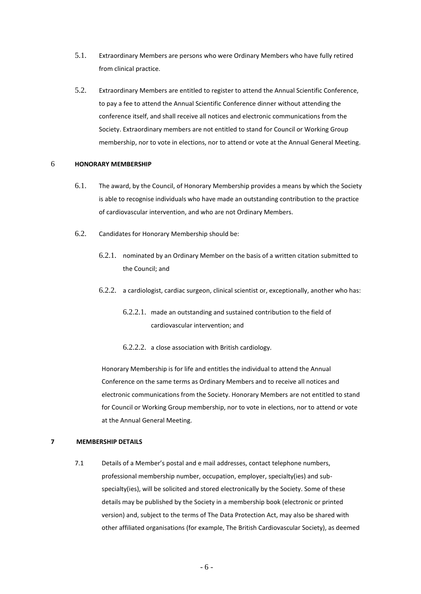- 5.1. Extraordinary Members are persons who were Ordinary Members who have fully retired from clinical practice.
- 5.2. Extraordinary Members are entitled to register to attend the Annual Scientific Conference, to pay a fee to attend the Annual Scientific Conference dinner without attending the conference itself, and shall receive all notices and electronic communications from the Society. Extraordinary members are not entitled to stand for Council or Working Group membership, nor to vote in elections, nor to attend or vote at the Annual General Meeting.

#### 6 **HONORARY MEMBERSHIP**

- 6.1. The award, by the Council, of Honorary Membership provides a means by which the Society is able to recognise individuals who have made an outstanding contribution to the practice of cardiovascular intervention, and who are not Ordinary Members.
- 6.2. Candidates for Honorary Membership should be:
	- 6.2.1. nominated by an Ordinary Member on the basis of a written citation submitted to the Council; and
	- 6.2.2. a cardiologist, cardiac surgeon, clinical scientist or, exceptionally, another who has:
		- 6.2.2.1. made an outstanding and sustained contribution to the field of cardiovascular intervention; and
		- 6.2.2.2. a close association with British cardiology.

Honorary Membership is for life and entitles the individual to attend the Annual Conference on the same terms as Ordinary Members and to receive all notices and electronic communications from the Society. Honorary Members are not entitled to stand for Council or Working Group membership, nor to vote in elections, nor to attend or vote at the Annual General Meeting.

# **7 MEMBERSHIP DETAILS**

7.1 Details of a Member's postal and e mail addresses, contact telephone numbers, professional membership number, occupation, employer, specialty(ies) and subspecialty(ies), will be solicited and stored electronically by the Society. Some of these details may be published by the Society in a membership book (electronic or printed version) and, subject to the terms of The Data Protection Act, may also be shared with other affiliated organisations (for example, The British Cardiovascular Society), as deemed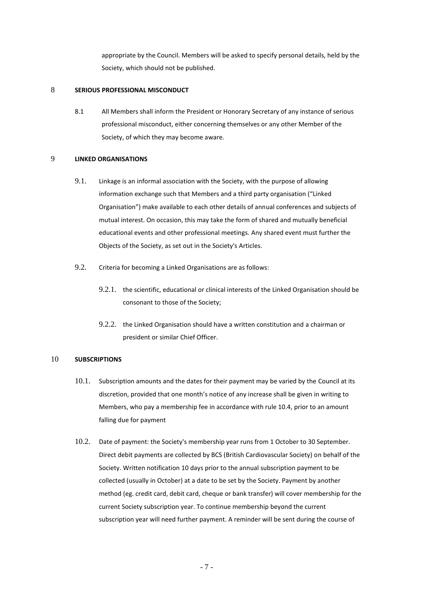appropriate by the Council. Members will be asked to specify personal details, held by the Society, which should not be published.

# 8 **SERIOUS PROFESSIONAL MISCONDUCT**

8.1 All Members shall inform the President or Honorary Secretary of any instance of serious professional misconduct, either concerning themselves or any other Member of the Society, of which they may become aware.

# 9 **LINKED ORGANISATIONS**

- 9.1. Linkage is an informal association with the Society, with the purpose of allowing information exchange such that Members and a third party organisation ("Linked Organisation") make available to each other details of annual conferences and subjects of mutual interest. On occasion, this may take the form of shared and mutually beneficial educational events and other professional meetings. Any shared event must further the Objects of the Society, as set out in the Society's Articles.
- 9.2. Criteria for becoming a Linked Organisations are as follows:
	- 9.2.1. the scientific, educational or clinical interests of the Linked Organisation should be consonant to those of the Society;
	- 9.2.2. the Linked Organisation should have a written constitution and a chairman or president or similar Chief Officer.

# 10 **SUBSCRIPTIONS**

- 10.1. Subscription amounts and the dates for their payment may be varied by the Council at its discretion, provided that one month's notice of any increase shall be given in writing to Members, who pay a membership fee in accordance with rule 10.4, prior to an amount falling due for payment
- 10.2. Date of payment: the Society's membership year runs from 1 October to 30 September. Direct debit payments are collected by BCS (British Cardiovascular Society) on behalf of the Society. Written notification 10 days prior to the annual subscription payment to be collected (usually in October) at a date to be set by the Society. Payment by another method (eg. credit card, debit card, cheque or bank transfer) will cover membership for the current Society subscription year. To continue membership beyond the current subscription year will need further payment. A reminder will be sent during the course of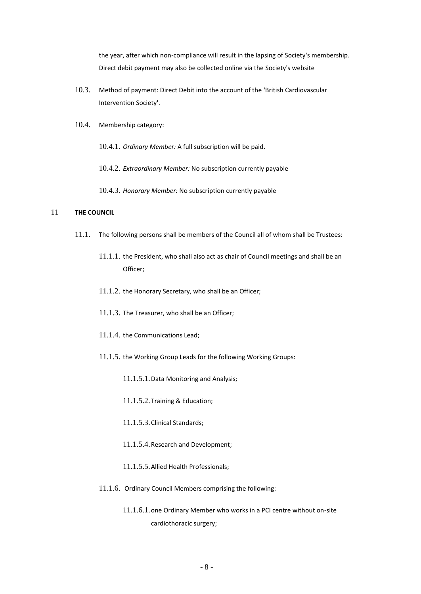the year, after which non-compliance will result in the lapsing of Society's membership. Direct debit payment may also be collected online via the Society's website

- 10.3. Method of payment: Direct Debit into the account of the 'British Cardiovascular Intervention Society'.
- 10.4. Membership category:
	- 10.4.1. *Ordinary Member:* A full subscription will be paid.
	- 10.4.2. *Extraordinary Member:* No subscription currently payable
	- 10.4.3. *Honorary Member:* No subscription currently payable

# 11 **THE COUNCIL**

- 11.1. The following persons shall be members of the Council all of whom shall be Trustees:
	- 11.1.1. the President, who shall also act as chair of Council meetings and shall be an Officer;
	- 11.1.2. the Honorary Secretary, who shall be an Officer;
	- 11.1.3. The Treasurer, who shall be an Officer;
	- 11.1.4. the Communications Lead;
	- 11.1.5. the Working Group Leads for the following Working Groups:
		- 11.1.5.1.Data Monitoring and Analysis;
		- 11.1.5.2.Training & Education;
		- 11.1.5.3.Clinical Standards;
		- 11.1.5.4.Research and Development;
		- 11.1.5.5.Allied Health Professionals;
	- 11.1.6. Ordinary Council Members comprising the following:
		- 11.1.6.1.one Ordinary Member who works in a PCI centre without on-site cardiothoracic surgery;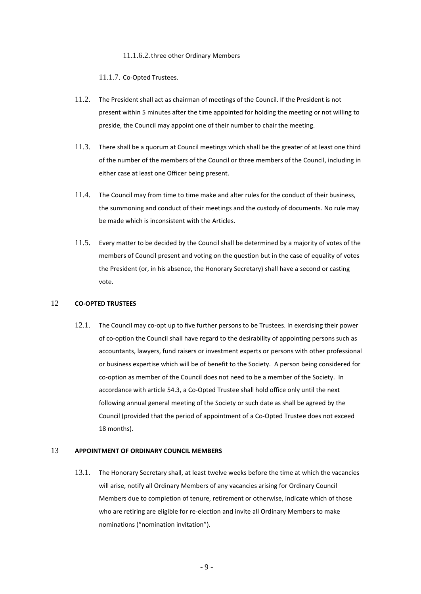#### 11.1.6.2.three other Ordinary Members

11.1.7. Co-Opted Trustees.

- 11.2. The President shall act as chairman of meetings of the Council. If the President is not present within 5 minutes after the time appointed for holding the meeting or not willing to preside, the Council may appoint one of their number to chair the meeting.
- 11.3. There shall be a quorum at Council meetings which shall be the greater of at least one third of the number of the members of the Council or three members of the Council, including in either case at least one Officer being present.
- 11.4. The Council may from time to time make and alter rules for the conduct of their business, the summoning and conduct of their meetings and the custody of documents. No rule may be made which is inconsistent with the Articles.
- 11.5. Every matter to be decided by the Council shall be determined by a majority of votes of the members of Council present and voting on the question but in the case of equality of votes the President (or, in his absence, the Honorary Secretary) shall have a second or casting vote.

# 12 **CO-OPTED TRUSTEES**

12.1. The Council may co-opt up to five further persons to be Trustees. In exercising their power of co-option the Council shall have regard to the desirability of appointing persons such as accountants, lawyers, fund raisers or investment experts or persons with other professional or business expertise which will be of benefit to the Society. A person being considered for co-option as member of the Council does not need to be a member of the Society. In accordance with article 54.3, a Co-Opted Trustee shall hold office only until the next following annual general meeting of the Society or such date as shall be agreed by the Council (provided that the period of appointment of a Co-Opted Trustee does not exceed 18 months).

# <span id="page-8-0"></span>13 **APPOINTMENT OF ORDINARY COUNCIL MEMBERS**

13.1. The Honorary Secretary shall, at least twelve weeks before the time at which the vacancies will arise, notify all Ordinary Members of any vacancies arising for Ordinary Council Members due to completion of tenure, retirement or otherwise, indicate which of those who are retiring are eligible for re-election and invite all Ordinary Members to make nominations ("nomination invitation").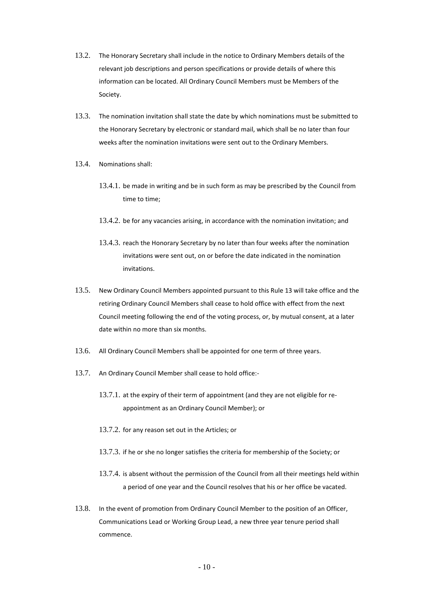- 13.2. The Honorary Secretary shall include in the notice to Ordinary Members details of the relevant job descriptions and person specifications or provide details of where this information can be located. All Ordinary Council Members must be Members of the Society.
- 13.3. The nomination invitation shall state the date by which nominations must be submitted to the Honorary Secretary by electronic or standard mail, which shall be no later than four weeks after the nomination invitations were sent out to the Ordinary Members.
- 13.4. Nominations shall:
	- 13.4.1. be made in writing and be in such form as may be prescribed by the Council from time to time;
	- 13.4.2. be for any vacancies arising, in accordance with the nomination invitation; and
	- 13.4.3. reach the Honorary Secretary by no later than four weeks after the nomination invitations were sent out, on or before the date indicated in the nomination invitations.
- 13.5. New Ordinary Council Members appointed pursuant to this Rule [13](#page-8-0) will take office and the retiring Ordinary Council Members shall cease to hold office with effect from the next Council meeting following the end of the voting process, or, by mutual consent, at a later date within no more than six months.
- 13.6. All Ordinary Council Members shall be appointed for one term of three years.
- 13.7. An Ordinary Council Member shall cease to hold office:-
	- 13.7.1. at the expiry of their term of appointment (and they are not eligible for reappointment as an Ordinary Council Member); or
	- 13.7.2. for any reason set out in the Articles; or
	- 13.7.3. if he or she no longer satisfies the criteria for membership of the Society; or
	- 13.7.4. is absent without the permission of the Council from all their meetings held within a period of one year and the Council resolves that his or her office be vacated.
- 13.8. In the event of promotion from Ordinary Council Member to the position of an Officer, Communications Lead or Working Group Lead, a new three year tenure period shall commence.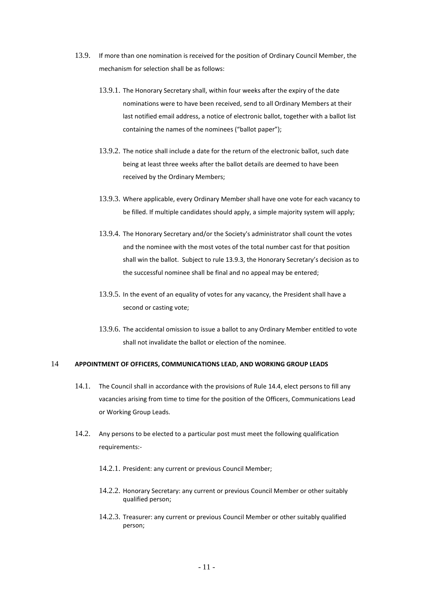- <span id="page-10-1"></span>13.9. If more than one nomination is received for the position of Ordinary Council Member, the mechanism for selection shall be as follows:
	- 13.9.1. The Honorary Secretary shall, within four weeks after the expiry of the date nominations were to have been received, send to all Ordinary Members at their last notified email address, a notice of electronic ballot, together with a ballot list containing the names of the nominees ("ballot paper");
	- 13.9.2. The notice shall include a date for the return of the electronic ballot, such date being at least three weeks after the ballot details are deemed to have been received by the Ordinary Members;
	- 13.9.3. Where applicable, every Ordinary Member shall have one vote for each vacancy to be filled. If multiple candidates should apply, a simple majority system will apply;
	- 13.9.4. The Honorary Secretary and/or the Society's administrator shall count the votes and the nominee with the most votes of the total number cast for that position shall win the ballot. Subject to rul[e 13.9.3](#page-10-1), the Honorary Secretary's decision as to the successful nominee shall be final and no appeal may be entered;
	- 13.9.5. In the event of an equality of votes for any vacancy, the President shall have a second or casting vote;
	- 13.9.6. The accidental omission to issue a ballot to any Ordinary Member entitled to vote shall not invalidate the ballot or election of the nominee.

# <span id="page-10-0"></span>14 **APPOINTMENT OF OFFICERS, COMMUNICATIONS LEAD, AND WORKING GROUP LEADS**

- 14.1. The Council shall in accordance with the provisions of Rul[e 14.4,](#page-11-0) elect persons to fill any vacancies arising from time to time for the position of the Officers, Communications Lead or Working Group Leads.
- 14.2. Any persons to be elected to a particular post must meet the following qualification requirements:-
	- 14.2.1. President: any current or previous Council Member;
	- 14.2.2. Honorary Secretary: any current or previous Council Member or other suitably qualified person;
	- 14.2.3. Treasurer: any current or previous Council Member or other suitably qualified person;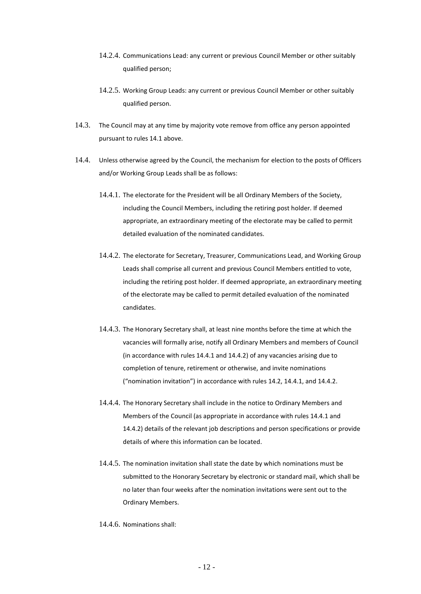- 14.2.4. Communications Lead: any current or previous Council Member or other suitably qualified person;
- 14.2.5. Working Group Leads: any current or previous Council Member or other suitably qualified person.
- 14.3. The Council may at any time by majority vote remove from office any person appointed pursuant to rules 14.1 above.
- <span id="page-11-0"></span>14.4. Unless otherwise agreed by the Council, the mechanism for election to the posts of Officers and/or Working Group Leads shall be as follows:
	- 14.4.1. The electorate for the President will be all Ordinary Members of the Society, including the Council Members, including the retiring post holder. If deemed appropriate, an extraordinary meeting of the electorate may be called to permit detailed evaluation of the nominated candidates.
	- 14.4.2. The electorate for Secretary, Treasurer, Communications Lead, and Working Group Leads shall comprise all current and previous Council Members entitled to vote, including the retiring post holder. If deemed appropriate, an extraordinary meeting of the electorate may be called to permit detailed evaluation of the nominated candidates.
	- 14.4.3. The Honorary Secretary shall, at least nine months before the time at which the vacancies will formally arise, notify all Ordinary Members and members of Council (in accordance with rules 14.4.1 and 14.4.2) of any vacancies arising due to completion of tenure, retirement or otherwise, and invite nominations ("nomination invitation") in accordance with rules 14.2, 14.4.1, and 14.4.2.
	- 14.4.4. The Honorary Secretary shall include in the notice to Ordinary Members and Members of the Council (as appropriate in accordance with rules 14.4.1 and 14.4.2) details of the relevant job descriptions and person specifications or provide details of where this information can be located.
	- 14.4.5. The nomination invitation shall state the date by which nominations must be submitted to the Honorary Secretary by electronic or standard mail, which shall be no later than four weeks after the nomination invitations were sent out to the Ordinary Members.
	- 14.4.6. Nominations shall: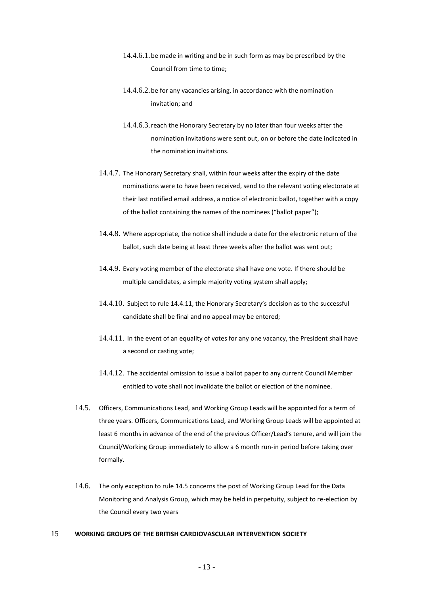- 14.4.6.1. be made in writing and be in such form as may be prescribed by the Council from time to time;
- 14.4.6.2.be for any vacancies arising, in accordance with the nomination invitation; and
- 14.4.6.3.reach the Honorary Secretary by no later than four weeks after the nomination invitations were sent out, on or before the date indicated in the nomination invitations.
- 14.4.7. The Honorary Secretary shall, within four weeks after the expiry of the date nominations were to have been received, send to the relevant voting electorate at their last notified email address, a notice of electronic ballot, together with a copy of the ballot containing the names of the nominees ("ballot paper");
- 14.4.8. Where appropriate, the notice shall include a date for the electronic return of the ballot, such date being at least three weeks after the ballot was sent out;
- 14.4.9. Every voting member of the electorate shall have one vote. If there should be multiple candidates, a simple majority voting system shall apply;
- 14.4.10. Subject to rul[e 14.4.11](#page-12-1), the Honorary Secretary's decision as to the successful candidate shall be final and no appeal may be entered;
- <span id="page-12-1"></span>14.4.11. In the event of an equality of votes for any one vacancy, the President shall have a second or casting vote;
- 14.4.12. The accidental omission to issue a ballot paper to any current Council Member entitled to vote shall not invalidate the ballot or election of the nominee.
- 14.5. Officers, Communications Lead, and Working Group Leads will be appointed for a term of three years. Officers, Communications Lead, and Working Group Leads will be appointed at least 6 months in advance of the end of the previous Officer/Lead's tenure, and will join the Council/Working Group immediately to allow a 6 month run-in period before taking over formally.
- 14.6. The only exception to rule 14.5 concerns the post of Working Group Lead for the Data Monitoring and Analysis Group, which may be held in perpetuity, subject to re-election by the Council every two years

# <span id="page-12-0"></span>15 **WORKING GROUPS OF THE BRITISH CARDIOVASCULAR INTERVENTION SOCIETY**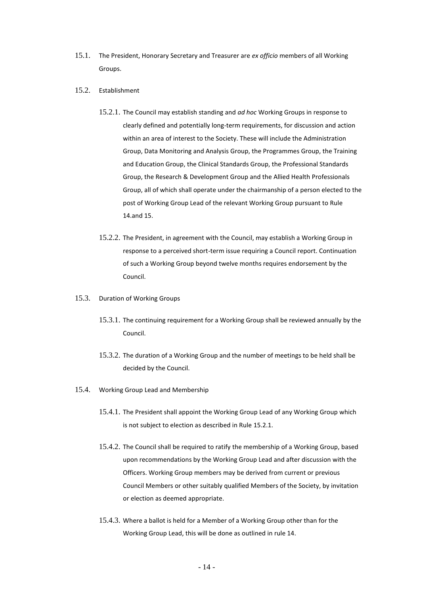- 15.1. The President, Honorary Secretary and Treasurer are *ex officio* members of all Working Groups.
- <span id="page-13-1"></span>15.2. Establishment
	- 15.2.1. The Council may establish standing and *ad hoc* Working Groups in response to clearly defined and potentially long-term requirements, for discussion and action within an area of interest to the Society. These will include the Administration Group, Data Monitoring and Analysis Group, the Programmes Group, the Training and Education Group, the Clinical Standards Group, the Professional Standards Group, the Research & Development Group and the Allied Health Professionals Group, all of which shall operate under the chairmanship of a person elected to the post of Working Group Lead of the relevant Working Group pursuant to Rule [14.](#page-10-0)and 15.
	- 15.2.2. The President, in agreement with the Council, may establish a Working Group in response to a perceived short-term issue requiring a Council report. Continuation of such a Working Group beyond twelve months requires endorsement by the Council.
- 15.3. Duration of Working Groups
	- 15.3.1. The continuing requirement for a Working Group shall be reviewed annually by the Council.
	- 15.3.2. The duration of a Working Group and the number of meetings to be held shall be decided by the Council.
- <span id="page-13-0"></span>15.4. Working Group Lead and Membership
	- 15.4.1. The President shall appoint the Working Group Lead of any Working Group which is not subject to election as described in Rule [15.2.1.](#page-13-1)
	- 15.4.2. The Council shall be required to ratify the membership of a Working Group, based upon recommendations by the Working Group Lead and after discussion with the Officers. Working Group members may be derived from current or previous Council Members or other suitably qualified Members of the Society, by invitation or election as deemed appropriate.
	- 15.4.3. Where a ballot is held for a Member of a Working Group other than for the Working Group Lead, this will be done as outlined in rule 14.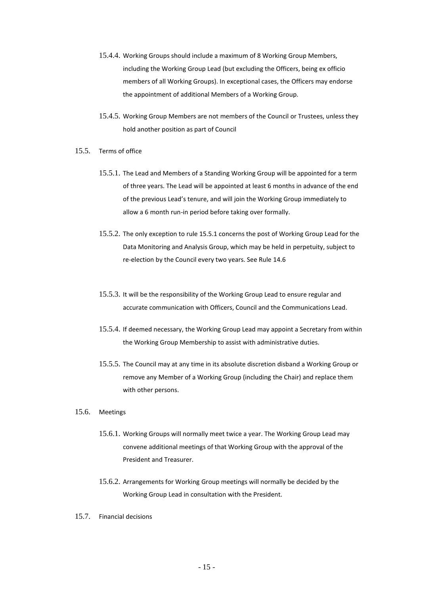- 15.4.4. Working Groups should include a maximum of 8 Working Group Members, including the Working Group Lead (but excluding the Officers, being ex officio members of all Working Groups). In exceptional cases, the Officers may endorse the appointment of additional Members of a Working Group.
- 15.4.5. Working Group Members are not members of the Council or Trustees, unless they hold another position as part of Council
- 15.5. Terms of office
	- 15.5.1. The Lead and Members of a Standing Working Group will be appointed for a term of three years. The Lead will be appointed at least 6 months in advance of the end of the previous Lead's tenure, and will join the Working Group immediately to allow a 6 month run-in period before taking over formally.
	- 15.5.2. The only exception to rule 15.5.1 concerns the post of Working Group Lead for the Data Monitoring and Analysis Group, which may be held in perpetuity, subject to re-election by the Council every two years. See Rule 14.6
	- 15.5.3. It will be the responsibility of the Working Group Lead to ensure regular and accurate communication with Officers, Council and the Communications Lead.
	- 15.5.4. If deemed necessary, the Working Group Lead may appoint a Secretary from within the Working Group Membership to assist with administrative duties.
	- 15.5.5. The Council may at any time in its absolute discretion disband a Working Group or remove any Member of a Working Group (including the Chair) and replace them with other persons.
- 15.6. Meetings
	- 15.6.1. Working Groups will normally meet twice a year. The Working Group Lead may convene additional meetings of that Working Group with the approval of the President and Treasurer.
	- 15.6.2. Arrangements for Working Group meetings will normally be decided by the Working Group Lead in consultation with the President.
- 15.7. Financial decisions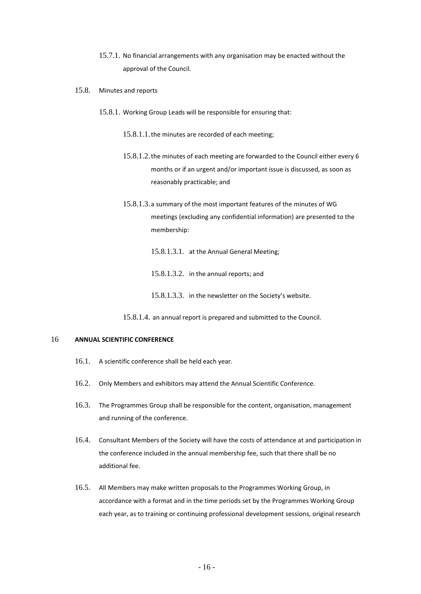- 15.7.1. No financial arrangements with any organisation may be enacted without the approval of the Council.
- 15.8. Minutes and reports
	- 15.8.1. Working Group Leads will be responsible for ensuring that:
		- 15.8.1.1.the minutes are recorded of each meeting;
		- 15.8.1.2.the minutes of each meeting are forwarded to the Council either every 6 months or if an urgent and/or important issue is discussed, as soon as reasonably practicable; and
		- 15.8.1.3.a summary of the most important features of the minutes of WG meetings (excluding any confidential information) are presented to the membership:
			- 15.8.1.3.1. at the Annual General Meeting;
			- 15.8.1.3.2. in the annual reports; and
			- 15.8.1.3.3. in the newsletter on the Society's website.
		- 15.8.1.4. an annual report is prepared and submitted to the Council.

# <span id="page-15-0"></span>16 **ANNUAL SCIENTIFIC CONFERENCE**

- 16.1. A scientific conference shall be held each year.
- 16.2. Only Members and exhibitors may attend the Annual Scientific Conference.
- 16.3. The Programmes Group shall be responsible for the content, organisation, management and running of the conference.
- 16.4. Consultant Members of the Society will have the costs of attendance at and participation in the conference included in the annual membership fee, such that there shall be no additional fee.
- 16.5. All Members may make written proposals to the Programmes Working Group, in accordance with a format and in the time periods set by the Programmes Working Group each year, as to training or continuing professional development sessions, original research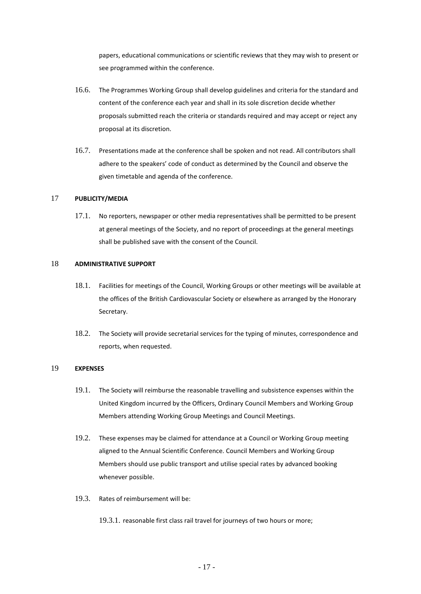papers, educational communications or scientific reviews that they may wish to present or see programmed within the conference.

- 16.6. The Programmes Working Group shall develop guidelines and criteria for the standard and content of the conference each year and shall in its sole discretion decide whether proposals submitted reach the criteria or standards required and may accept or reject any proposal at its discretion.
- 16.7. Presentations made at the conference shall be spoken and not read. All contributors shall adhere to the speakers' code of conduct as determined by the Council and observe the given timetable and agenda of the conference.

# 17 **PUBLICITY/MEDIA**

17.1. No reporters, newspaper or other media representatives shall be permitted to be present at general meetings of the Society, and no report of proceedings at the general meetings shall be published save with the consent of the Council.

#### 18 **ADMINISTRATIVE SUPPORT**

- 18.1. Facilities for meetings of the Council, Working Groups or other meetings will be available at the offices of the British Cardiovascular Society or elsewhere as arranged by the Honorary Secretary.
- 18.2. The Society will provide secretarial services for the typing of minutes, correspondence and reports, when requested.

# 19 **EXPENSES**

- 19.1. The Society will reimburse the reasonable travelling and subsistence expenses within the United Kingdom incurred by the Officers, Ordinary Council Members and Working Group Members attending Working Group Meetings and Council Meetings.
- 19.2. These expenses may be claimed for attendance at a Council or Working Group meeting aligned to the Annual Scientific Conference. Council Members and Working Group Members should use public transport and utilise special rates by advanced booking whenever possible.
- 19.3. Rates of reimbursement will be:
	- 19.3.1. reasonable first class rail travel for journeys of two hours or more;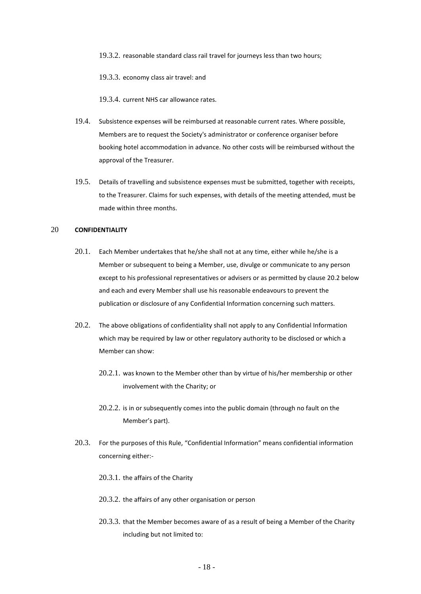19.3.2. reasonable standard class rail travel for journeys less than two hours;

19.3.3. economy class air travel: and

19.3.4. current NHS car allowance rates.

- 19.4. Subsistence expenses will be reimbursed at reasonable current rates. Where possible, Members are to request the Society's administrator or conference organiser before booking hotel accommodation in advance. No other costs will be reimbursed without the approval of the Treasurer.
- 19.5. Details of travelling and subsistence expenses must be submitted, together with receipts, to the Treasurer. Claims for such expenses, with details of the meeting attended, must be made within three months.

# 20 **CONFIDENTIALITY**

- 20.1. Each Member undertakes that he/she shall not at any time, either while he/she is a Member or subsequent to being a Member, use, divulge or communicate to any person except to his professional representatives or advisers or as permitted by clause [20.2](#page-17-0) below and each and every Member shall use his reasonable endeavours to prevent the publication or disclosure of any Confidential Information concerning such matters.
- <span id="page-17-0"></span>20.2. The above obligations of confidentiality shall not apply to any Confidential Information which may be required by law or other regulatory authority to be disclosed or which a Member can show:
	- 20.2.1. was known to the Member other than by virtue of his/her membership or other involvement with the Charity; or
	- 20.2.2. is in or subsequently comes into the public domain (through no fault on the Member's part).
- 20.3. For the purposes of this Rule, "Confidential Information" means confidential information concerning either:-
	- 20.3.1. the affairs of the Charity
	- 20.3.2. the affairs of any other organisation or person
	- 20.3.3. that the Member becomes aware of as a result of being a Member of the Charity including but not limited to: